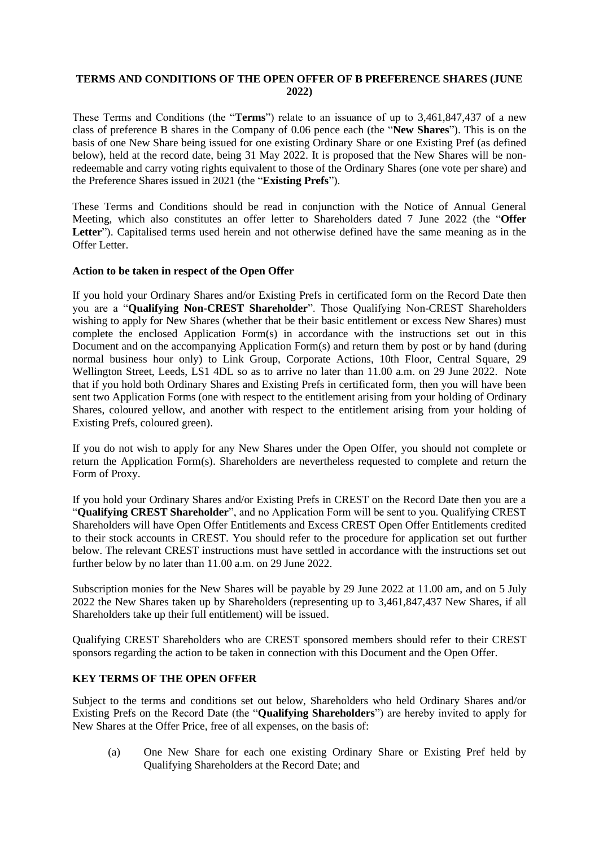### <span id="page-0-0"></span>**TERMS AND CONDITIONS OF THE OPEN OFFER OF B PREFERENCE SHARES (JUNE 2022)**

These Terms and Conditions (the "**Terms**") relate to an issuance of up to 3,461,847,437 of a new class of preference B shares in the Company of 0.06 pence each (the "**New Shares**"). This is on the basis of one New Share being issued for one existing Ordinary Share or one Existing Pref (as defined below), held at the record date, being 31 May 2022. It is proposed that the New Shares will be nonredeemable and carry voting rights equivalent to those of the Ordinary Shares (one vote per share) and the Preference Shares issued in 2021 (the "**Existing Prefs**").

These Terms and Conditions should be read in conjunction with the Notice of Annual General Meeting, which also constitutes an offer letter to Shareholders dated 7 June 2022 (the "**Offer Letter**"). Capitalised terms used herein and not otherwise defined have the same meaning as in the Offer Letter.

## **Action to be taken in respect of the Open Offer**

If you hold your Ordinary Shares and/or Existing Prefs in certificated form on the Record Date then you are a "**Qualifying Non-CREST Shareholder**". Those Qualifying Non-CREST Shareholders wishing to apply for New Shares (whether that be their basic entitlement or excess New Shares) must complete the enclosed Application Form(s) in accordance with the instructions set out in this Document and on the accompanying Application Form(s) and return them by post or by hand (during normal business hour only) to Link Group, Corporate Actions, 10th Floor, Central Square, 29 Wellington Street, Leeds, LS1 4DL so as to arrive no later than 11.00 a.m. on 29 June 2022. Note that if you hold both Ordinary Shares and Existing Prefs in certificated form, then you will have been sent two Application Forms (one with respect to the entitlement arising from your holding of Ordinary Shares, coloured yellow, and another with respect to the entitlement arising from your holding of Existing Prefs, coloured green).

If you do not wish to apply for any New Shares under the Open Offer, you should not complete or return the Application Form(s). Shareholders are nevertheless requested to complete and return the Form of Proxy.

If you hold your Ordinary Shares and/or Existing Prefs in CREST on the Record Date then you are a "**Qualifying CREST Shareholder**", and no Application Form will be sent to you. Qualifying CREST Shareholders will have Open Offer Entitlements and Excess CREST Open Offer Entitlements credited to their stock accounts in CREST. You should refer to the procedure for application set out further below. The relevant CREST instructions must have settled in accordance with the instructions set out further below by no later than 11.00 a.m. on 29 June 2022.

Subscription monies for the New Shares will be payable by 29 June 2022 at 11.00 am, and on 5 July 2022 the New Shares taken up by Shareholders (representing up to 3,461,847,437 New Shares, if all Shareholders take up their full entitlement) will be issued.

Qualifying CREST Shareholders who are CREST sponsored members should refer to their CREST sponsors regarding the action to be taken in connection with this Document and the Open Offer.

# **KEY TERMS OF THE OPEN OFFER**

Subject to the terms and conditions set out below, Shareholders who held Ordinary Shares and/or Existing Prefs on the Record Date (the "**Qualifying Shareholders**") are hereby invited to apply for New Shares at the Offer Price, free of all expenses, on the basis of:

(a) One New Share for each one existing Ordinary Share or Existing Pref held by Qualifying Shareholders at the Record Date; and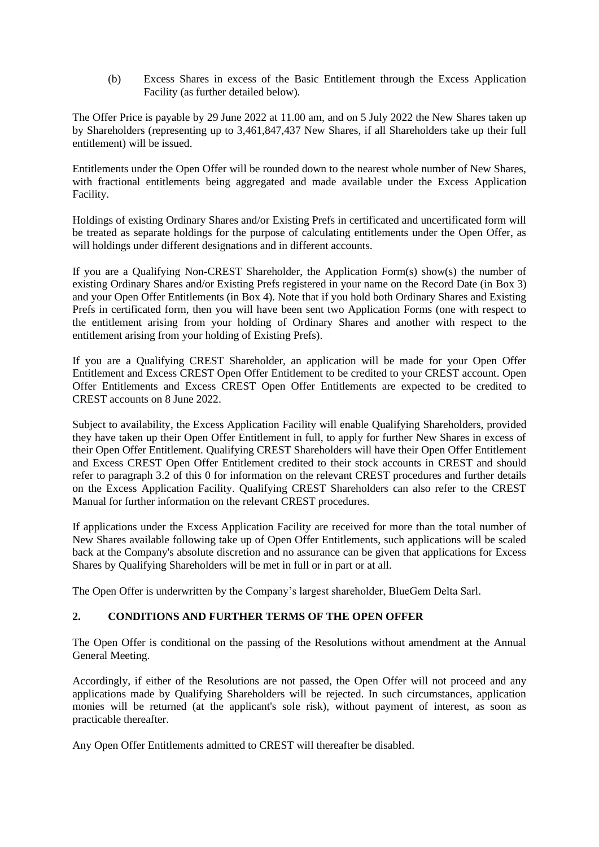(b) Excess Shares in excess of the Basic Entitlement through the Excess Application Facility (as further detailed below).

The Offer Price is payable by 29 June 2022 at 11.00 am, and on 5 July 2022 the New Shares taken up by Shareholders (representing up to 3,461,847,437 New Shares, if all Shareholders take up their full entitlement) will be issued.

Entitlements under the Open Offer will be rounded down to the nearest whole number of New Shares, with fractional entitlements being aggregated and made available under the Excess Application Facility.

Holdings of existing Ordinary Shares and/or Existing Prefs in certificated and uncertificated form will be treated as separate holdings for the purpose of calculating entitlements under the Open Offer, as will holdings under different designations and in different accounts.

If you are a Qualifying Non-CREST Shareholder, the Application Form(s) show(s) the number of existing Ordinary Shares and/or Existing Prefs registered in your name on the Record Date (in Box 3) and your Open Offer Entitlements (in Box 4). Note that if you hold both Ordinary Shares and Existing Prefs in certificated form, then you will have been sent two Application Forms (one with respect to the entitlement arising from your holding of Ordinary Shares and another with respect to the entitlement arising from your holding of Existing Prefs).

If you are a Qualifying CREST Shareholder, an application will be made for your Open Offer Entitlement and Excess CREST Open Offer Entitlement to be credited to your CREST account. Open Offer Entitlements and Excess CREST Open Offer Entitlements are expected to be credited to CREST accounts on 8 June 2022.

Subject to availability, the Excess Application Facility will enable Qualifying Shareholders, provided they have taken up their Open Offer Entitlement in full, to apply for further New Shares in excess of their Open Offer Entitlement. Qualifying CREST Shareholders will have their Open Offer Entitlement and Excess CREST Open Offer Entitlement credited to their stock accounts in CREST and should refer to paragraph [3.2](#page-7-0) of this [0](#page-0-0) for information on the relevant CREST procedures and further details on the Excess Application Facility. Qualifying CREST Shareholders can also refer to the CREST Manual for further information on the relevant CREST procedures.

If applications under the Excess Application Facility are received for more than the total number of New Shares available following take up of Open Offer Entitlements, such applications will be scaled back at the Company's absolute discretion and no assurance can be given that applications for Excess Shares by Qualifying Shareholders will be met in full or in part or at all.

The Open Offer is underwritten by the Company's largest shareholder, BlueGem Delta Sarl.

# **2. CONDITIONS AND FURTHER TERMS OF THE OPEN OFFER**

The Open Offer is conditional on the passing of the Resolutions without amendment at the Annual General Meeting.

Accordingly, if either of the Resolutions are not passed, the Open Offer will not proceed and any applications made by Qualifying Shareholders will be rejected. In such circumstances, application monies will be returned (at the applicant's sole risk), without payment of interest, as soon as practicable thereafter.

Any Open Offer Entitlements admitted to CREST will thereafter be disabled.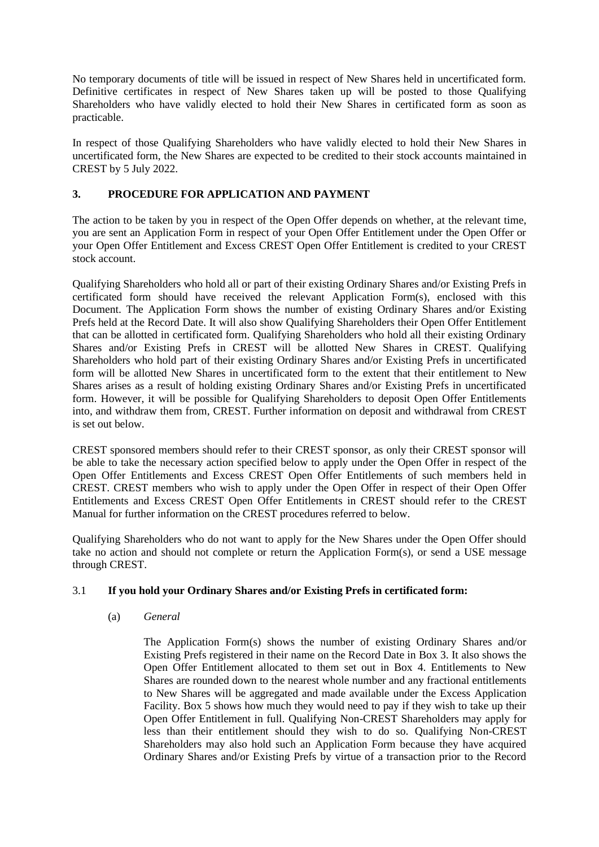No temporary documents of title will be issued in respect of New Shares held in uncertificated form. Definitive certificates in respect of New Shares taken up will be posted to those Qualifying Shareholders who have validly elected to hold their New Shares in certificated form as soon as practicable.

In respect of those Qualifying Shareholders who have validly elected to hold their New Shares in uncertificated form, the New Shares are expected to be credited to their stock accounts maintained in CREST by 5 July 2022.

# **3. PROCEDURE FOR APPLICATION AND PAYMENT**

The action to be taken by you in respect of the Open Offer depends on whether, at the relevant time, you are sent an Application Form in respect of your Open Offer Entitlement under the Open Offer or your Open Offer Entitlement and Excess CREST Open Offer Entitlement is credited to your CREST stock account.

Qualifying Shareholders who hold all or part of their existing Ordinary Shares and/or Existing Prefs in certificated form should have received the relevant Application Form(s), enclosed with this Document. The Application Form shows the number of existing Ordinary Shares and/or Existing Prefs held at the Record Date. It will also show Qualifying Shareholders their Open Offer Entitlement that can be allotted in certificated form. Qualifying Shareholders who hold all their existing Ordinary Shares and/or Existing Prefs in CREST will be allotted New Shares in CREST. Qualifying Shareholders who hold part of their existing Ordinary Shares and/or Existing Prefs in uncertificated form will be allotted New Shares in uncertificated form to the extent that their entitlement to New Shares arises as a result of holding existing Ordinary Shares and/or Existing Prefs in uncertificated form. However, it will be possible for Qualifying Shareholders to deposit Open Offer Entitlements into, and withdraw them from, CREST. Further information on deposit and withdrawal from CREST is set out below.

CREST sponsored members should refer to their CREST sponsor, as only their CREST sponsor will be able to take the necessary action specified below to apply under the Open Offer in respect of the Open Offer Entitlements and Excess CREST Open Offer Entitlements of such members held in CREST. CREST members who wish to apply under the Open Offer in respect of their Open Offer Entitlements and Excess CREST Open Offer Entitlements in CREST should refer to the CREST Manual for further information on the CREST procedures referred to below.

Qualifying Shareholders who do not want to apply for the New Shares under the Open Offer should take no action and should not complete or return the Application Form(s), or send a USE message through CREST.

# 3.1 **If you hold your Ordinary Shares and/or Existing Prefs in certificated form:**

# (a) *General*

The Application Form(s) shows the number of existing Ordinary Shares and/or Existing Prefs registered in their name on the Record Date in Box 3. It also shows the Open Offer Entitlement allocated to them set out in Box 4. Entitlements to New Shares are rounded down to the nearest whole number and any fractional entitlements to New Shares will be aggregated and made available under the Excess Application Facility. Box 5 shows how much they would need to pay if they wish to take up their Open Offer Entitlement in full. Qualifying Non-CREST Shareholders may apply for less than their entitlement should they wish to do so. Qualifying Non-CREST Shareholders may also hold such an Application Form because they have acquired Ordinary Shares and/or Existing Prefs by virtue of a transaction prior to the Record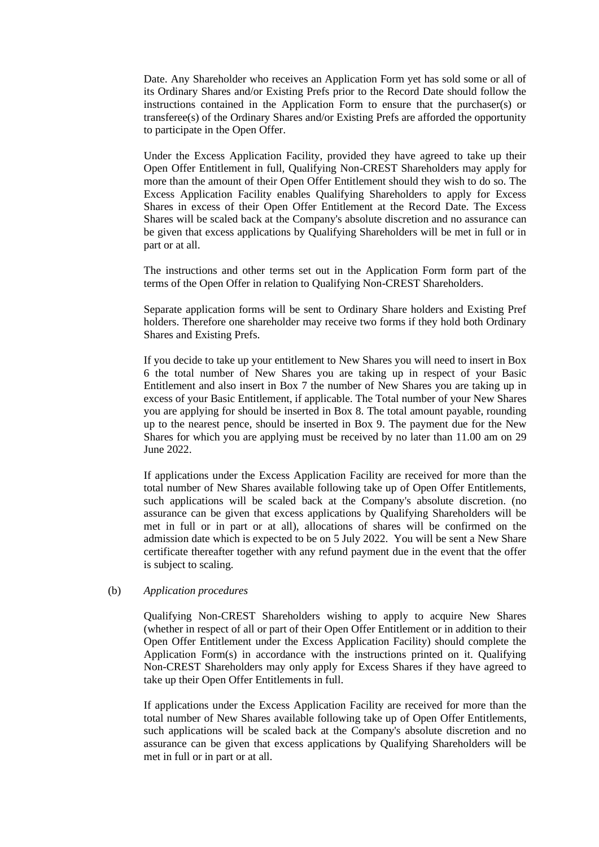Date. Any Shareholder who receives an Application Form yet has sold some or all of its Ordinary Shares and/or Existing Prefs prior to the Record Date should follow the instructions contained in the Application Form to ensure that the purchaser(s) or transferee(s) of the Ordinary Shares and/or Existing Prefs are afforded the opportunity to participate in the Open Offer.

Under the Excess Application Facility, provided they have agreed to take up their Open Offer Entitlement in full, Qualifying Non-CREST Shareholders may apply for more than the amount of their Open Offer Entitlement should they wish to do so. The Excess Application Facility enables Qualifying Shareholders to apply for Excess Shares in excess of their Open Offer Entitlement at the Record Date. The Excess Shares will be scaled back at the Company's absolute discretion and no assurance can be given that excess applications by Qualifying Shareholders will be met in full or in part or at all.

The instructions and other terms set out in the Application Form form part of the terms of the Open Offer in relation to Qualifying Non-CREST Shareholders.

Separate application forms will be sent to Ordinary Share holders and Existing Pref holders. Therefore one shareholder may receive two forms if they hold both Ordinary Shares and Existing Prefs.

If you decide to take up your entitlement to New Shares you will need to insert in Box 6 the total number of New Shares you are taking up in respect of your Basic Entitlement and also insert in Box 7 the number of New Shares you are taking up in excess of your Basic Entitlement, if applicable. The Total number of your New Shares you are applying for should be inserted in Box 8. The total amount payable, rounding up to the nearest pence, should be inserted in Box 9. The payment due for the New Shares for which you are applying must be received by no later than 11.00 am on 29 June 2022.

If applications under the Excess Application Facility are received for more than the total number of New Shares available following take up of Open Offer Entitlements, such applications will be scaled back at the Company's absolute discretion. (no assurance can be given that excess applications by Qualifying Shareholders will be met in full or in part or at all), allocations of shares will be confirmed on the admission date which is expected to be on 5 July 2022. You will be sent a New Share certificate thereafter together with any refund payment due in the event that the offer is subject to scaling.

#### (b) *Application procedures*

Qualifying Non-CREST Shareholders wishing to apply to acquire New Shares (whether in respect of all or part of their Open Offer Entitlement or in addition to their Open Offer Entitlement under the Excess Application Facility) should complete the Application Form(s) in accordance with the instructions printed on it. Qualifying Non-CREST Shareholders may only apply for Excess Shares if they have agreed to take up their Open Offer Entitlements in full.

If applications under the Excess Application Facility are received for more than the total number of New Shares available following take up of Open Offer Entitlements, such applications will be scaled back at the Company's absolute discretion and no assurance can be given that excess applications by Qualifying Shareholders will be met in full or in part or at all.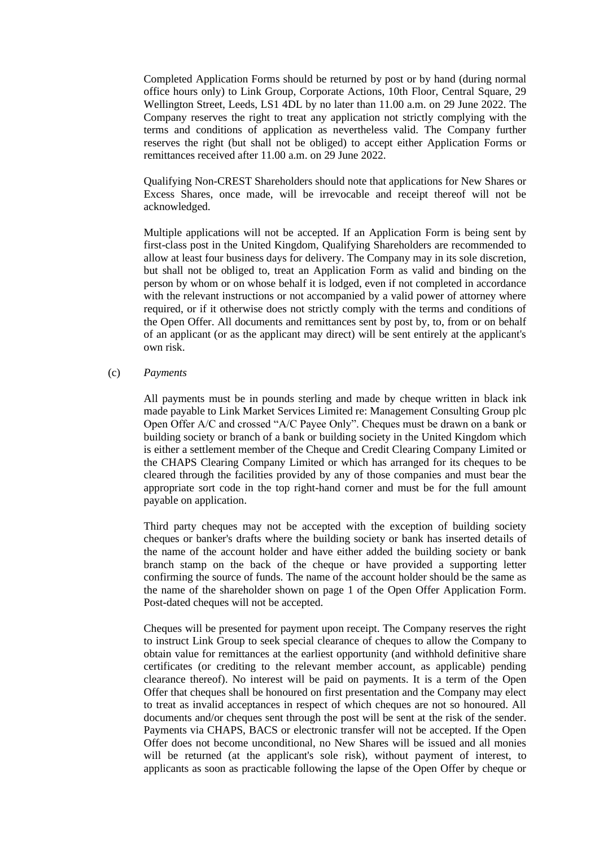Completed Application Forms should be returned by post or by hand (during normal office hours only) to Link Group, Corporate Actions, 10th Floor, Central Square, 29 Wellington Street, Leeds, LS1 4DL by no later than 11.00 a.m. on 29 June 2022. The Company reserves the right to treat any application not strictly complying with the terms and conditions of application as nevertheless valid. The Company further reserves the right (but shall not be obliged) to accept either Application Forms or remittances received after 11.00 a.m. on 29 June 2022.

Qualifying Non-CREST Shareholders should note that applications for New Shares or Excess Shares, once made, will be irrevocable and receipt thereof will not be acknowledged.

Multiple applications will not be accepted. If an Application Form is being sent by first-class post in the United Kingdom, Qualifying Shareholders are recommended to allow at least four business days for delivery. The Company may in its sole discretion, but shall not be obliged to, treat an Application Form as valid and binding on the person by whom or on whose behalf it is lodged, even if not completed in accordance with the relevant instructions or not accompanied by a valid power of attorney where required, or if it otherwise does not strictly comply with the terms and conditions of the Open Offer. All documents and remittances sent by post by, to, from or on behalf of an applicant (or as the applicant may direct) will be sent entirely at the applicant's own risk.

#### (c) *Payments*

All payments must be in pounds sterling and made by cheque written in black ink made payable to Link Market Services Limited re: Management Consulting Group plc Open Offer A/C and crossed "A/C Payee Only". Cheques must be drawn on a bank or building society or branch of a bank or building society in the United Kingdom which is either a settlement member of the Cheque and Credit Clearing Company Limited or the CHAPS Clearing Company Limited or which has arranged for its cheques to be cleared through the facilities provided by any of those companies and must bear the appropriate sort code in the top right-hand corner and must be for the full amount payable on application.

Third party cheques may not be accepted with the exception of building society cheques or banker's drafts where the building society or bank has inserted details of the name of the account holder and have either added the building society or bank branch stamp on the back of the cheque or have provided a supporting letter confirming the source of funds. The name of the account holder should be the same as the name of the shareholder shown on page 1 of the Open Offer Application Form. Post-dated cheques will not be accepted.

Cheques will be presented for payment upon receipt. The Company reserves the right to instruct Link Group to seek special clearance of cheques to allow the Company to obtain value for remittances at the earliest opportunity (and withhold definitive share certificates (or crediting to the relevant member account, as applicable) pending clearance thereof). No interest will be paid on payments. It is a term of the Open Offer that cheques shall be honoured on first presentation and the Company may elect to treat as invalid acceptances in respect of which cheques are not so honoured. All documents and/or cheques sent through the post will be sent at the risk of the sender. Payments via CHAPS, BACS or electronic transfer will not be accepted. If the Open Offer does not become unconditional, no New Shares will be issued and all monies will be returned (at the applicant's sole risk), without payment of interest, to applicants as soon as practicable following the lapse of the Open Offer by cheque or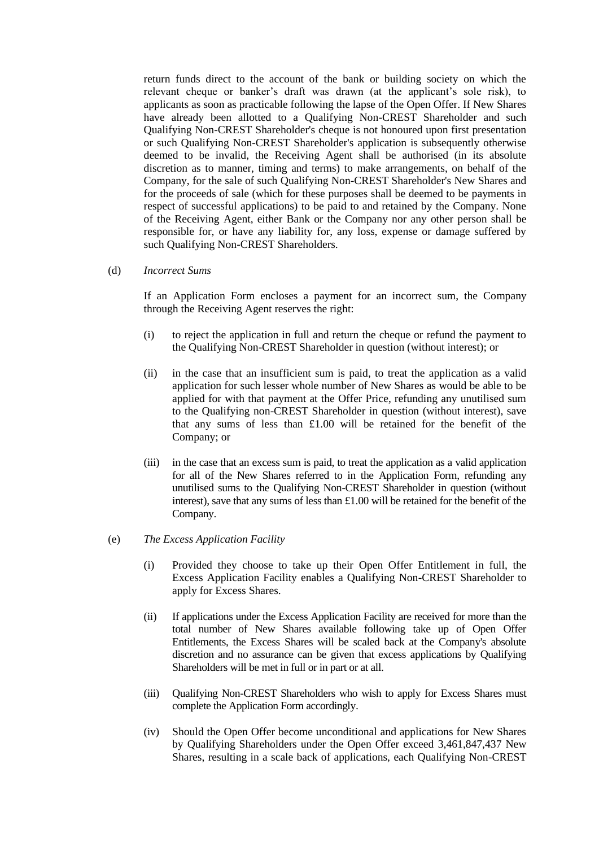return funds direct to the account of the bank or building society on which the relevant cheque or banker's draft was drawn (at the applicant's sole risk), to applicants as soon as practicable following the lapse of the Open Offer. If New Shares have already been allotted to a Qualifying Non-CREST Shareholder and such Qualifying Non-CREST Shareholder's cheque is not honoured upon first presentation or such Qualifying Non-CREST Shareholder's application is subsequently otherwise deemed to be invalid, the Receiving Agent shall be authorised (in its absolute discretion as to manner, timing and terms) to make arrangements, on behalf of the Company, for the sale of such Qualifying Non-CREST Shareholder's New Shares and for the proceeds of sale (which for these purposes shall be deemed to be payments in respect of successful applications) to be paid to and retained by the Company. None of the Receiving Agent, either Bank or the Company nor any other person shall be responsible for, or have any liability for, any loss, expense or damage suffered by such Qualifying Non-CREST Shareholders.

(d) *Incorrect Sums*

If an Application Form encloses a payment for an incorrect sum, the Company through the Receiving Agent reserves the right:

- (i) to reject the application in full and return the cheque or refund the payment to the Qualifying Non-CREST Shareholder in question (without interest); or
- (ii) in the case that an insufficient sum is paid, to treat the application as a valid application for such lesser whole number of New Shares as would be able to be applied for with that payment at the Offer Price, refunding any unutilised sum to the Qualifying non-CREST Shareholder in question (without interest), save that any sums of less than £1.00 will be retained for the benefit of the Company; or
- (iii) in the case that an excess sum is paid, to treat the application as a valid application for all of the New Shares referred to in the Application Form, refunding any unutilised sums to the Qualifying Non-CREST Shareholder in question (without interest), save that any sums of less than £1.00 will be retained for the benefit of the Company.

#### (e) *The Excess Application Facility*

- (i) Provided they choose to take up their Open Offer Entitlement in full, the Excess Application Facility enables a Qualifying Non-CREST Shareholder to apply for Excess Shares.
- (ii) If applications under the Excess Application Facility are received for more than the total number of New Shares available following take up of Open Offer Entitlements, the Excess Shares will be scaled back at the Company's absolute discretion and no assurance can be given that excess applications by Qualifying Shareholders will be met in full or in part or at all.
- (iii) Qualifying Non-CREST Shareholders who wish to apply for Excess Shares must complete the Application Form accordingly.
- (iv) Should the Open Offer become unconditional and applications for New Shares by Qualifying Shareholders under the Open Offer exceed 3,461,847,437 New Shares, resulting in a scale back of applications, each Qualifying Non-CREST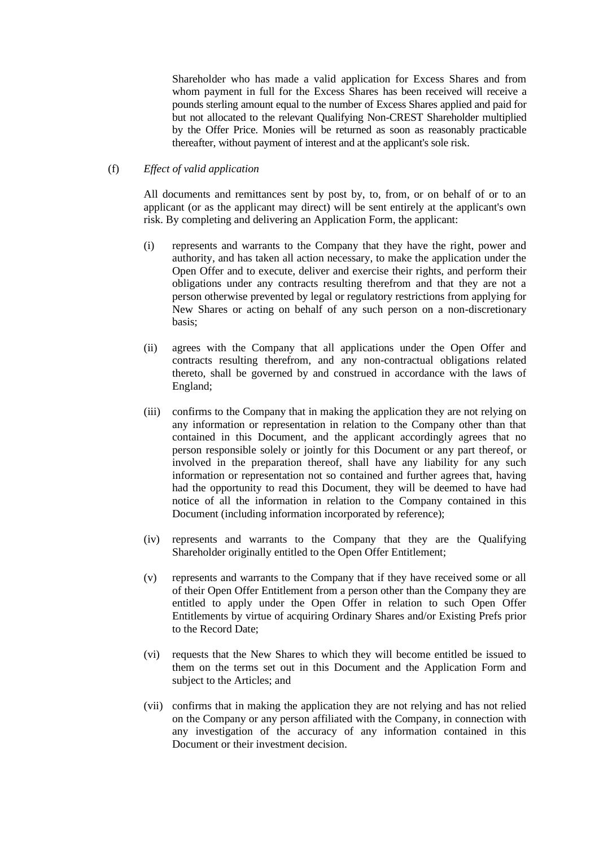Shareholder who has made a valid application for Excess Shares and from whom payment in full for the Excess Shares has been received will receive a pounds sterling amount equal to the number of Excess Shares applied and paid for but not allocated to the relevant Qualifying Non-CREST Shareholder multiplied by the Offer Price. Monies will be returned as soon as reasonably practicable thereafter, without payment of interest and at the applicant's sole risk.

## (f) *Effect of valid application*

All documents and remittances sent by post by, to, from, or on behalf of or to an applicant (or as the applicant may direct) will be sent entirely at the applicant's own risk. By completing and delivering an Application Form, the applicant:

- (i) represents and warrants to the Company that they have the right, power and authority, and has taken all action necessary, to make the application under the Open Offer and to execute, deliver and exercise their rights, and perform their obligations under any contracts resulting therefrom and that they are not a person otherwise prevented by legal or regulatory restrictions from applying for New Shares or acting on behalf of any such person on a non-discretionary basis;
- (ii) agrees with the Company that all applications under the Open Offer and contracts resulting therefrom, and any non-contractual obligations related thereto, shall be governed by and construed in accordance with the laws of England;
- (iii) confirms to the Company that in making the application they are not relying on any information or representation in relation to the Company other than that contained in this Document, and the applicant accordingly agrees that no person responsible solely or jointly for this Document or any part thereof, or involved in the preparation thereof, shall have any liability for any such information or representation not so contained and further agrees that, having had the opportunity to read this Document, they will be deemed to have had notice of all the information in relation to the Company contained in this Document (including information incorporated by reference);
- (iv) represents and warrants to the Company that they are the Qualifying Shareholder originally entitled to the Open Offer Entitlement;
- (v) represents and warrants to the Company that if they have received some or all of their Open Offer Entitlement from a person other than the Company they are entitled to apply under the Open Offer in relation to such Open Offer Entitlements by virtue of acquiring Ordinary Shares and/or Existing Prefs prior to the Record Date;
- (vi) requests that the New Shares to which they will become entitled be issued to them on the terms set out in this Document and the Application Form and subject to the Articles; and
- (vii) confirms that in making the application they are not relying and has not relied on the Company or any person affiliated with the Company, in connection with any investigation of the accuracy of any information contained in this Document or their investment decision.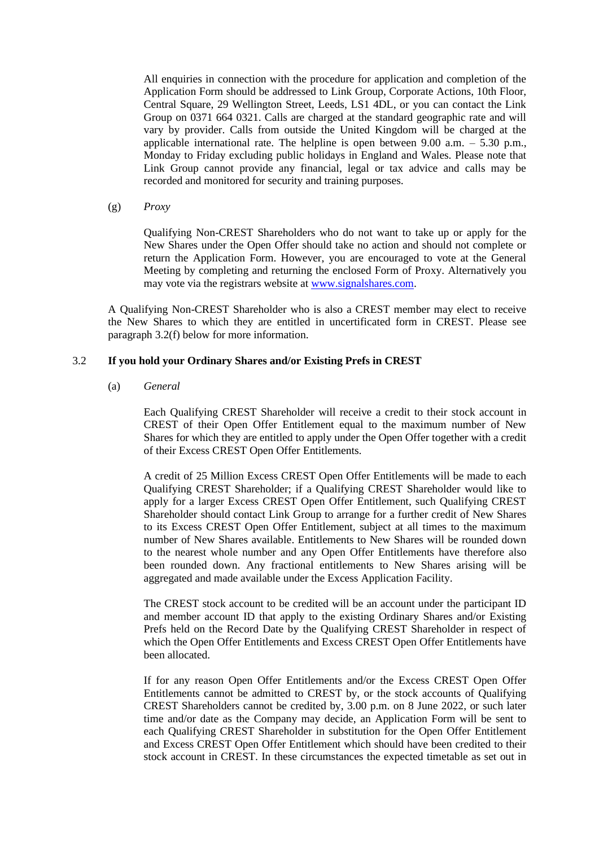All enquiries in connection with the procedure for application and completion of the Application Form should be addressed to Link Group, Corporate Actions, 10th Floor, Central Square, 29 Wellington Street, Leeds, LS1 4DL, or you can contact the Link Group on 0371 664 0321. Calls are charged at the standard geographic rate and will vary by provider. Calls from outside the United Kingdom will be charged at the applicable international rate. The helpline is open between  $9.00$  a.m.  $-5.30$  p.m., Monday to Friday excluding public holidays in England and Wales. Please note that Link Group cannot provide any financial, legal or tax advice and calls may be recorded and monitored for security and training purposes.

(g) *Proxy*

Qualifying Non-CREST Shareholders who do not want to take up or apply for the New Shares under the Open Offer should take no action and should not complete or return the Application Form. However, you are encouraged to vote at the General Meeting by completing and returning the enclosed Form of Proxy. Alternatively you may vote via the registrars website at [www.signalshares.com.](http://www.signalshares.com/)

A Qualifying Non-CREST Shareholder who is also a CREST member may elect to receive the New Shares to which they are entitled in uncertificated form in CREST. Please see paragraph [3.2\(f\)](#page-12-0) below for more information.

## <span id="page-7-0"></span>3.2 **If you hold your Ordinary Shares and/or Existing Prefs in CREST**

(a) *General*

Each Qualifying CREST Shareholder will receive a credit to their stock account in CREST of their Open Offer Entitlement equal to the maximum number of New Shares for which they are entitled to apply under the Open Offer together with a credit of their Excess CREST Open Offer Entitlements.

A credit of 25 Million Excess CREST Open Offer Entitlements will be made to each Qualifying CREST Shareholder; if a Qualifying CREST Shareholder would like to apply for a larger Excess CREST Open Offer Entitlement, such Qualifying CREST Shareholder should contact Link Group to arrange for a further credit of New Shares to its Excess CREST Open Offer Entitlement, subject at all times to the maximum number of New Shares available. Entitlements to New Shares will be rounded down to the nearest whole number and any Open Offer Entitlements have therefore also been rounded down. Any fractional entitlements to New Shares arising will be aggregated and made available under the Excess Application Facility.

The CREST stock account to be credited will be an account under the participant ID and member account ID that apply to the existing Ordinary Shares and/or Existing Prefs held on the Record Date by the Qualifying CREST Shareholder in respect of which the Open Offer Entitlements and Excess CREST Open Offer Entitlements have been allocated.

If for any reason Open Offer Entitlements and/or the Excess CREST Open Offer Entitlements cannot be admitted to CREST by, or the stock accounts of Qualifying CREST Shareholders cannot be credited by, 3.00 p.m. on 8 June 2022, or such later time and/or date as the Company may decide, an Application Form will be sent to each Qualifying CREST Shareholder in substitution for the Open Offer Entitlement and Excess CREST Open Offer Entitlement which should have been credited to their stock account in CREST. In these circumstances the expected timetable as set out in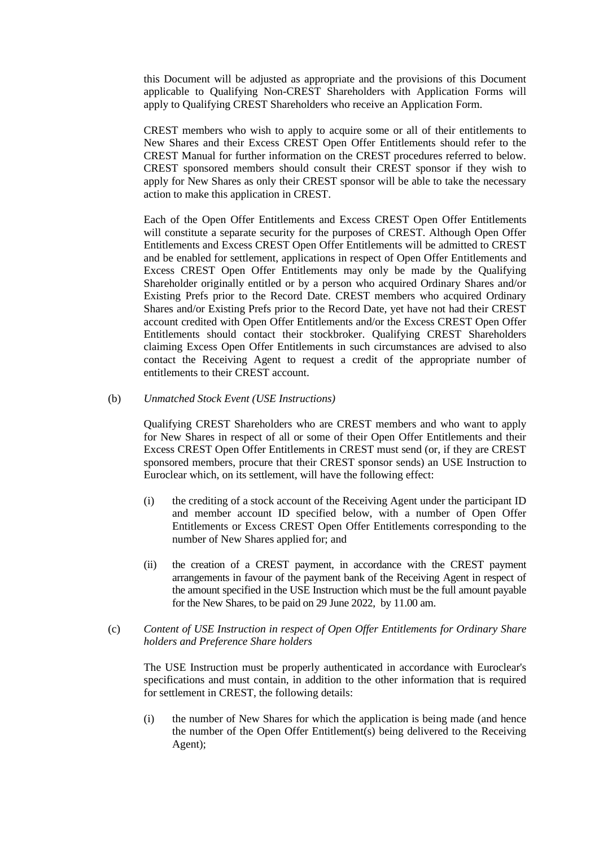this Document will be adjusted as appropriate and the provisions of this Document applicable to Qualifying Non-CREST Shareholders with Application Forms will apply to Qualifying CREST Shareholders who receive an Application Form.

CREST members who wish to apply to acquire some or all of their entitlements to New Shares and their Excess CREST Open Offer Entitlements should refer to the CREST Manual for further information on the CREST procedures referred to below. CREST sponsored members should consult their CREST sponsor if they wish to apply for New Shares as only their CREST sponsor will be able to take the necessary action to make this application in CREST.

Each of the Open Offer Entitlements and Excess CREST Open Offer Entitlements will constitute a separate security for the purposes of CREST. Although Open Offer Entitlements and Excess CREST Open Offer Entitlements will be admitted to CREST and be enabled for settlement, applications in respect of Open Offer Entitlements and Excess CREST Open Offer Entitlements may only be made by the Qualifying Shareholder originally entitled or by a person who acquired Ordinary Shares and/or Existing Prefs prior to the Record Date. CREST members who acquired Ordinary Shares and/or Existing Prefs prior to the Record Date, yet have not had their CREST account credited with Open Offer Entitlements and/or the Excess CREST Open Offer Entitlements should contact their stockbroker. Qualifying CREST Shareholders claiming Excess Open Offer Entitlements in such circumstances are advised to also contact the Receiving Agent to request a credit of the appropriate number of entitlements to their CREST account.

### (b) *Unmatched Stock Event (USE Instructions)*

Qualifying CREST Shareholders who are CREST members and who want to apply for New Shares in respect of all or some of their Open Offer Entitlements and their Excess CREST Open Offer Entitlements in CREST must send (or, if they are CREST sponsored members, procure that their CREST sponsor sends) an USE Instruction to Euroclear which, on its settlement, will have the following effect:

- (i) the crediting of a stock account of the Receiving Agent under the participant ID and member account ID specified below, with a number of Open Offer Entitlements or Excess CREST Open Offer Entitlements corresponding to the number of New Shares applied for; and
- (ii) the creation of a CREST payment, in accordance with the CREST payment arrangements in favour of the payment bank of the Receiving Agent in respect of the amount specified in the USE Instruction which must be the full amount payable for the New Shares, to be paid on 29 June 2022, by 11.00 am.
- (c) *Content of USE Instruction in respect of Open Offer Entitlements for Ordinary Share holders and Preference Share holders*

The USE Instruction must be properly authenticated in accordance with Euroclear's specifications and must contain, in addition to the other information that is required for settlement in CREST, the following details:

(i) the number of New Shares for which the application is being made (and hence the number of the Open Offer Entitlement(s) being delivered to the Receiving Agent);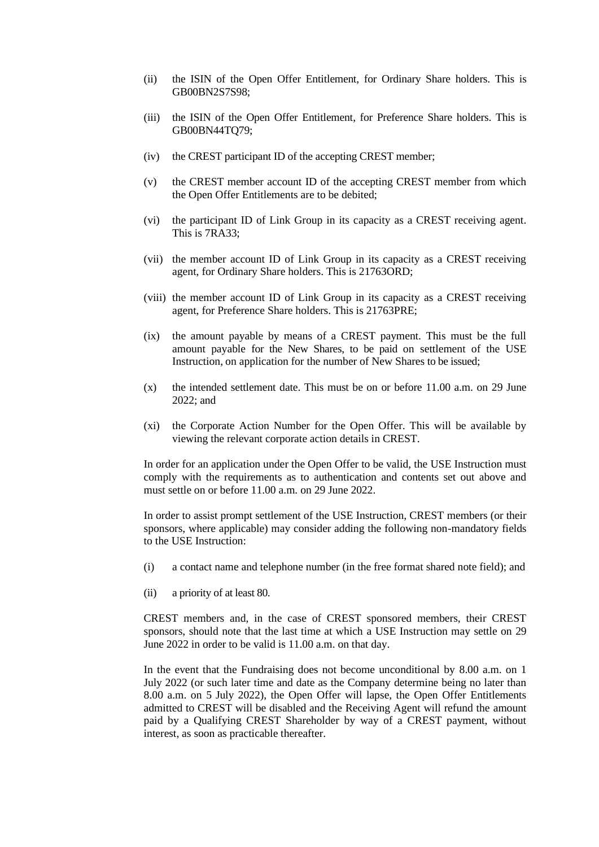- (ii) the ISIN of the Open Offer Entitlement, for Ordinary Share holders. This is GB00BN2S7S98;
- (iii) the ISIN of the Open Offer Entitlement, for Preference Share holders. This is GB00BN44TQ79;
- (iv) the CREST participant ID of the accepting CREST member;
- (v) the CREST member account ID of the accepting CREST member from which the Open Offer Entitlements are to be debited;
- (vi) the participant ID of Link Group in its capacity as a CREST receiving agent. This is 7RA33;
- (vii) the member account ID of Link Group in its capacity as a CREST receiving agent, for Ordinary Share holders. This is 21763ORD;
- (viii) the member account ID of Link Group in its capacity as a CREST receiving agent, for Preference Share holders. This is 21763PRE;
- (ix) the amount payable by means of a CREST payment. This must be the full amount payable for the New Shares, to be paid on settlement of the USE Instruction, on application for the number of New Shares to be issued;
- $(x)$  the intended settlement date. This must be on or before 11.00 a.m. on 29 June 2022; and
- (xi) the Corporate Action Number for the Open Offer. This will be available by viewing the relevant corporate action details in CREST.

In order for an application under the Open Offer to be valid, the USE Instruction must comply with the requirements as to authentication and contents set out above and must settle on or before 11.00 a.m. on 29 June 2022.

In order to assist prompt settlement of the USE Instruction, CREST members (or their sponsors, where applicable) may consider adding the following non-mandatory fields to the USE Instruction:

- (i) a contact name and telephone number (in the free format shared note field); and
- (ii) a priority of at least 80.

CREST members and, in the case of CREST sponsored members, their CREST sponsors, should note that the last time at which a USE Instruction may settle on 29 June 2022 in order to be valid is 11.00 a.m. on that day.

In the event that the Fundraising does not become unconditional by 8.00 a.m. on 1 July 2022 (or such later time and date as the Company determine being no later than 8.00 a.m. on 5 July 2022), the Open Offer will lapse, the Open Offer Entitlements admitted to CREST will be disabled and the Receiving Agent will refund the amount paid by a Qualifying CREST Shareholder by way of a CREST payment, without interest, as soon as practicable thereafter.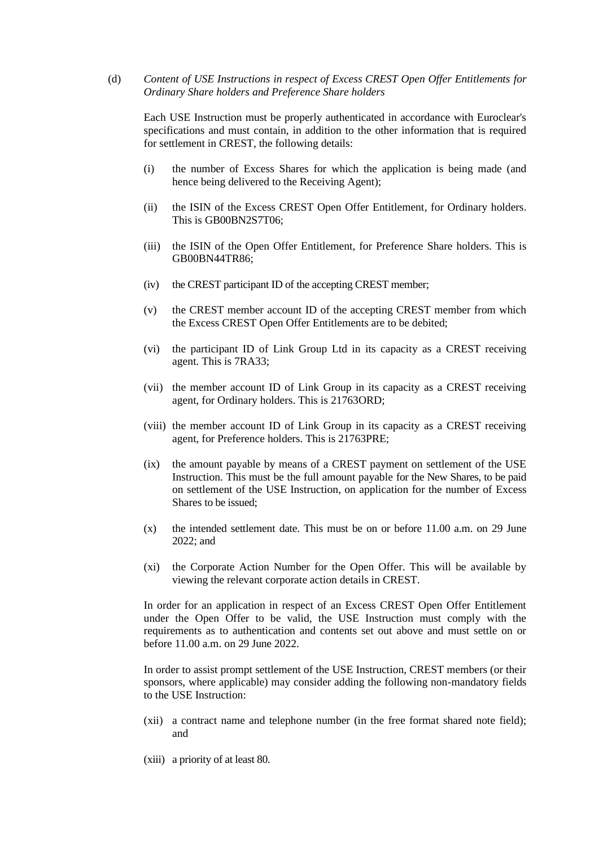## (d) *Content of USE Instructions in respect of Excess CREST Open Offer Entitlements for Ordinary Share holders and Preference Share holders*

Each USE Instruction must be properly authenticated in accordance with Euroclear's specifications and must contain, in addition to the other information that is required for settlement in CREST, the following details:

- (i) the number of Excess Shares for which the application is being made (and hence being delivered to the Receiving Agent);
- (ii) the ISIN of the Excess CREST Open Offer Entitlement, for Ordinary holders. This is GB00BN2S7T06;
- (iii) the ISIN of the Open Offer Entitlement, for Preference Share holders. This is GB00BN44TR86;
- (iv) the CREST participant ID of the accepting CREST member;
- (v) the CREST member account ID of the accepting CREST member from which the Excess CREST Open Offer Entitlements are to be debited;
- (vi) the participant ID of Link Group Ltd in its capacity as a CREST receiving agent. This is 7RA33;
- (vii) the member account ID of Link Group in its capacity as a CREST receiving agent, for Ordinary holders. This is 21763ORD;
- (viii) the member account ID of Link Group in its capacity as a CREST receiving agent, for Preference holders. This is 21763PRE;
- (ix) the amount payable by means of a CREST payment on settlement of the USE Instruction. This must be the full amount payable for the New Shares, to be paid on settlement of the USE Instruction, on application for the number of Excess Shares to be issued:
- $(x)$  the intended settlement date. This must be on or before 11.00 a.m. on 29 June 2022; and
- (xi) the Corporate Action Number for the Open Offer. This will be available by viewing the relevant corporate action details in CREST.

In order for an application in respect of an Excess CREST Open Offer Entitlement under the Open Offer to be valid, the USE Instruction must comply with the requirements as to authentication and contents set out above and must settle on or before 11.00 a.m. on 29 June 2022.

In order to assist prompt settlement of the USE Instruction, CREST members (or their sponsors, where applicable) may consider adding the following non-mandatory fields to the USE Instruction:

- (xii) a contract name and telephone number (in the free format shared note field); and
- (xiii) a priority of at least 80.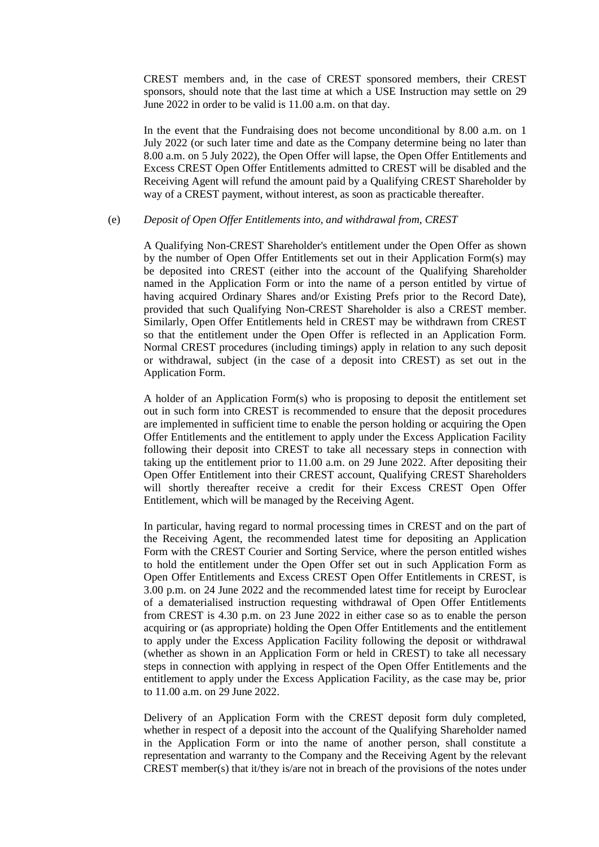CREST members and, in the case of CREST sponsored members, their CREST sponsors, should note that the last time at which a USE Instruction may settle on 29 June 2022 in order to be valid is 11.00 a.m. on that day.

In the event that the Fundraising does not become unconditional by 8.00 a.m. on 1 July 2022 (or such later time and date as the Company determine being no later than 8.00 a.m. on 5 July 2022), the Open Offer will lapse, the Open Offer Entitlements and Excess CREST Open Offer Entitlements admitted to CREST will be disabled and the Receiving Agent will refund the amount paid by a Qualifying CREST Shareholder by way of a CREST payment, without interest, as soon as practicable thereafter.

#### (e) *Deposit of Open Offer Entitlements into, and withdrawal from, CREST*

A Qualifying Non-CREST Shareholder's entitlement under the Open Offer as shown by the number of Open Offer Entitlements set out in their Application Form(s) may be deposited into CREST (either into the account of the Qualifying Shareholder named in the Application Form or into the name of a person entitled by virtue of having acquired Ordinary Shares and/or Existing Prefs prior to the Record Date), provided that such Qualifying Non-CREST Shareholder is also a CREST member. Similarly, Open Offer Entitlements held in CREST may be withdrawn from CREST so that the entitlement under the Open Offer is reflected in an Application Form. Normal CREST procedures (including timings) apply in relation to any such deposit or withdrawal, subject (in the case of a deposit into CREST) as set out in the Application Form.

A holder of an Application Form(s) who is proposing to deposit the entitlement set out in such form into CREST is recommended to ensure that the deposit procedures are implemented in sufficient time to enable the person holding or acquiring the Open Offer Entitlements and the entitlement to apply under the Excess Application Facility following their deposit into CREST to take all necessary steps in connection with taking up the entitlement prior to 11.00 a.m. on 29 June 2022. After depositing their Open Offer Entitlement into their CREST account, Qualifying CREST Shareholders will shortly thereafter receive a credit for their Excess CREST Open Offer Entitlement, which will be managed by the Receiving Agent.

In particular, having regard to normal processing times in CREST and on the part of the Receiving Agent, the recommended latest time for depositing an Application Form with the CREST Courier and Sorting Service, where the person entitled wishes to hold the entitlement under the Open Offer set out in such Application Form as Open Offer Entitlements and Excess CREST Open Offer Entitlements in CREST, is 3.00 p.m. on 24 June 2022 and the recommended latest time for receipt by Euroclear of a dematerialised instruction requesting withdrawal of Open Offer Entitlements from CREST is 4.30 p.m. on 23 June 2022 in either case so as to enable the person acquiring or (as appropriate) holding the Open Offer Entitlements and the entitlement to apply under the Excess Application Facility following the deposit or withdrawal (whether as shown in an Application Form or held in CREST) to take all necessary steps in connection with applying in respect of the Open Offer Entitlements and the entitlement to apply under the Excess Application Facility, as the case may be, prior to 11.00 a.m. on 29 June 2022.

Delivery of an Application Form with the CREST deposit form duly completed, whether in respect of a deposit into the account of the Qualifying Shareholder named in the Application Form or into the name of another person, shall constitute a representation and warranty to the Company and the Receiving Agent by the relevant CREST member(s) that it/they is/are not in breach of the provisions of the notes under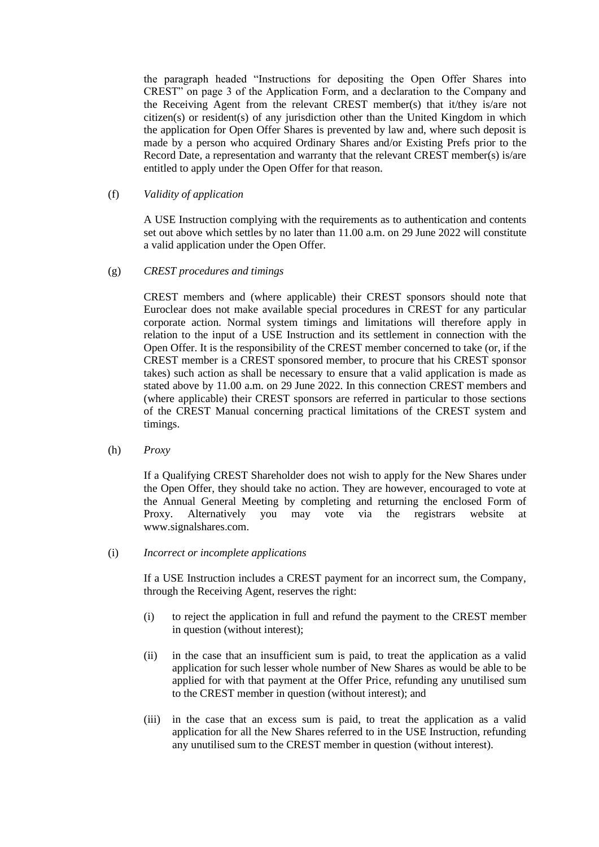the paragraph headed "Instructions for depositing the Open Offer Shares into CREST" on page 3 of the Application Form, and a declaration to the Company and the Receiving Agent from the relevant CREST member(s) that it/they is/are not citizen(s) or resident(s) of any jurisdiction other than the United Kingdom in which the application for Open Offer Shares is prevented by law and, where such deposit is made by a person who acquired Ordinary Shares and/or Existing Prefs prior to the Record Date, a representation and warranty that the relevant CREST member(s) is/are entitled to apply under the Open Offer for that reason.

#### <span id="page-12-0"></span>(f) *Validity of application*

A USE Instruction complying with the requirements as to authentication and contents set out above which settles by no later than 11.00 a.m. on 29 June 2022 will constitute a valid application under the Open Offer.

### (g) *CREST procedures and timings*

CREST members and (where applicable) their CREST sponsors should note that Euroclear does not make available special procedures in CREST for any particular corporate action. Normal system timings and limitations will therefore apply in relation to the input of a USE Instruction and its settlement in connection with the Open Offer. It is the responsibility of the CREST member concerned to take (or, if the CREST member is a CREST sponsored member, to procure that his CREST sponsor takes) such action as shall be necessary to ensure that a valid application is made as stated above by 11.00 a.m. on 29 June 2022. In this connection CREST members and (where applicable) their CREST sponsors are referred in particular to those sections of the CREST Manual concerning practical limitations of the CREST system and timings.

(h) *Proxy*

If a Qualifying CREST Shareholder does not wish to apply for the New Shares under the Open Offer, they should take no action. They are however, encouraged to vote at the Annual General Meeting by completing and returning the enclosed Form of Proxy. Alternatively you may vote via the registrars website at www.signalshares.com.

(i) *Incorrect or incomplete applications*

If a USE Instruction includes a CREST payment for an incorrect sum, the Company, through the Receiving Agent, reserves the right:

- (i) to reject the application in full and refund the payment to the CREST member in question (without interest);
- (ii) in the case that an insufficient sum is paid, to treat the application as a valid application for such lesser whole number of New Shares as would be able to be applied for with that payment at the Offer Price, refunding any unutilised sum to the CREST member in question (without interest); and
- (iii) in the case that an excess sum is paid, to treat the application as a valid application for all the New Shares referred to in the USE Instruction, refunding any unutilised sum to the CREST member in question (without interest).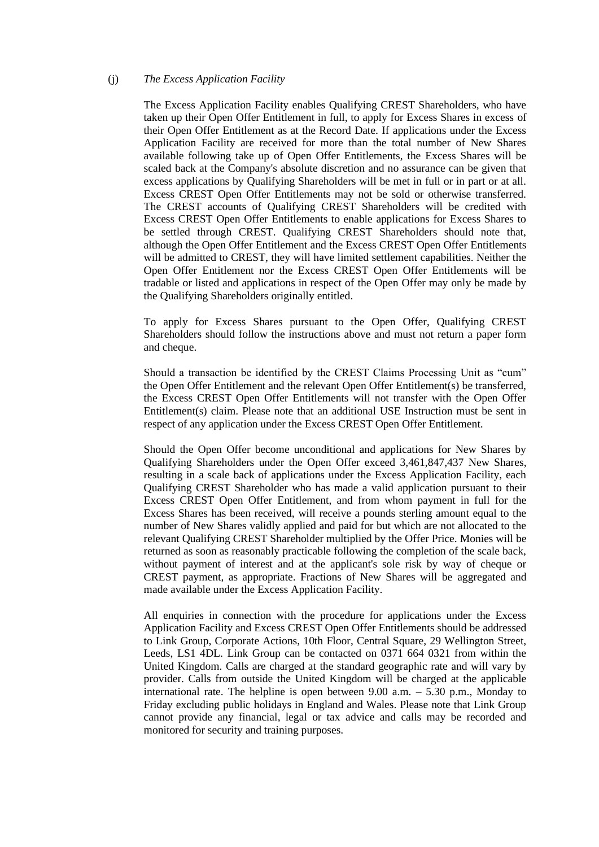#### (j) *The Excess Application Facility*

The Excess Application Facility enables Qualifying CREST Shareholders, who have taken up their Open Offer Entitlement in full, to apply for Excess Shares in excess of their Open Offer Entitlement as at the Record Date. If applications under the Excess Application Facility are received for more than the total number of New Shares available following take up of Open Offer Entitlements, the Excess Shares will be scaled back at the Company's absolute discretion and no assurance can be given that excess applications by Qualifying Shareholders will be met in full or in part or at all. Excess CREST Open Offer Entitlements may not be sold or otherwise transferred. The CREST accounts of Qualifying CREST Shareholders will be credited with Excess CREST Open Offer Entitlements to enable applications for Excess Shares to be settled through CREST. Qualifying CREST Shareholders should note that, although the Open Offer Entitlement and the Excess CREST Open Offer Entitlements will be admitted to CREST, they will have limited settlement capabilities. Neither the Open Offer Entitlement nor the Excess CREST Open Offer Entitlements will be tradable or listed and applications in respect of the Open Offer may only be made by the Qualifying Shareholders originally entitled.

To apply for Excess Shares pursuant to the Open Offer, Qualifying CREST Shareholders should follow the instructions above and must not return a paper form and cheque.

Should a transaction be identified by the CREST Claims Processing Unit as "cum" the Open Offer Entitlement and the relevant Open Offer Entitlement(s) be transferred, the Excess CREST Open Offer Entitlements will not transfer with the Open Offer Entitlement(s) claim. Please note that an additional USE Instruction must be sent in respect of any application under the Excess CREST Open Offer Entitlement.

Should the Open Offer become unconditional and applications for New Shares by Qualifying Shareholders under the Open Offer exceed 3,461,847,437 New Shares, resulting in a scale back of applications under the Excess Application Facility, each Qualifying CREST Shareholder who has made a valid application pursuant to their Excess CREST Open Offer Entitlement, and from whom payment in full for the Excess Shares has been received, will receive a pounds sterling amount equal to the number of New Shares validly applied and paid for but which are not allocated to the relevant Qualifying CREST Shareholder multiplied by the Offer Price. Monies will be returned as soon as reasonably practicable following the completion of the scale back, without payment of interest and at the applicant's sole risk by way of cheque or CREST payment, as appropriate. Fractions of New Shares will be aggregated and made available under the Excess Application Facility.

All enquiries in connection with the procedure for applications under the Excess Application Facility and Excess CREST Open Offer Entitlements should be addressed to Link Group, Corporate Actions, 10th Floor, Central Square, 29 Wellington Street, Leeds, LS1 4DL. Link Group can be contacted on 0371 664 0321 from within the United Kingdom. Calls are charged at the standard geographic rate and will vary by provider. Calls from outside the United Kingdom will be charged at the applicable international rate. The helpline is open between 9.00 a.m.  $-$  5.30 p.m., Monday to Friday excluding public holidays in England and Wales. Please note that Link Group cannot provide any financial, legal or tax advice and calls may be recorded and monitored for security and training purposes.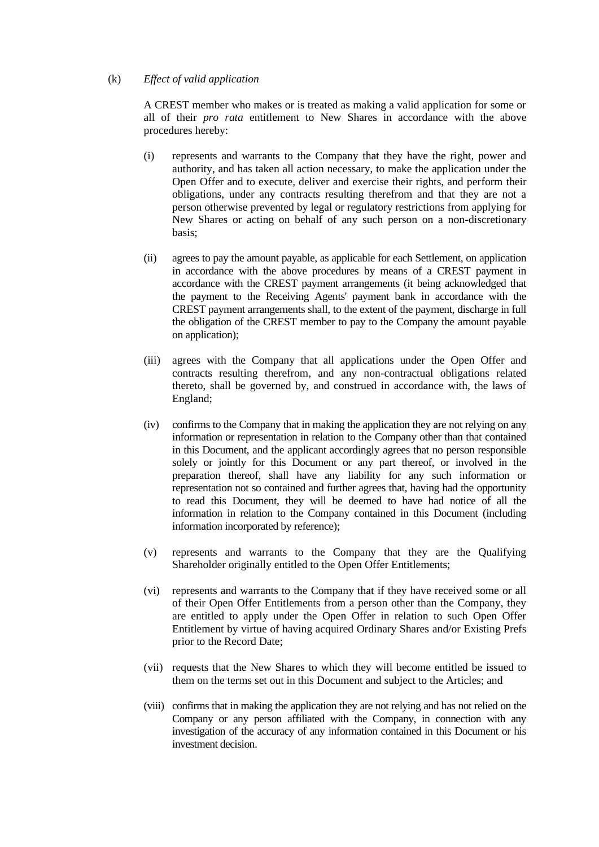### (k) *Effect of valid application*

A CREST member who makes or is treated as making a valid application for some or all of their *pro rata* entitlement to New Shares in accordance with the above procedures hereby:

- (i) represents and warrants to the Company that they have the right, power and authority, and has taken all action necessary, to make the application under the Open Offer and to execute, deliver and exercise their rights, and perform their obligations, under any contracts resulting therefrom and that they are not a person otherwise prevented by legal or regulatory restrictions from applying for New Shares or acting on behalf of any such person on a non-discretionary basis;
- (ii) agrees to pay the amount payable, as applicable for each Settlement, on application in accordance with the above procedures by means of a CREST payment in accordance with the CREST payment arrangements (it being acknowledged that the payment to the Receiving Agents' payment bank in accordance with the CREST payment arrangements shall, to the extent of the payment, discharge in full the obligation of the CREST member to pay to the Company the amount payable on application);
- (iii) agrees with the Company that all applications under the Open Offer and contracts resulting therefrom, and any non-contractual obligations related thereto, shall be governed by, and construed in accordance with, the laws of England;
- (iv) confirms to the Company that in making the application they are not relying on any information or representation in relation to the Company other than that contained in this Document, and the applicant accordingly agrees that no person responsible solely or jointly for this Document or any part thereof, or involved in the preparation thereof, shall have any liability for any such information or representation not so contained and further agrees that, having had the opportunity to read this Document, they will be deemed to have had notice of all the information in relation to the Company contained in this Document (including information incorporated by reference);
- (v) represents and warrants to the Company that they are the Qualifying Shareholder originally entitled to the Open Offer Entitlements;
- (vi) represents and warrants to the Company that if they have received some or all of their Open Offer Entitlements from a person other than the Company, they are entitled to apply under the Open Offer in relation to such Open Offer Entitlement by virtue of having acquired Ordinary Shares and/or Existing Prefs prior to the Record Date;
- (vii) requests that the New Shares to which they will become entitled be issued to them on the terms set out in this Document and subject to the Articles; and
- (viii) confirms that in making the application they are not relying and has not relied on the Company or any person affiliated with the Company, in connection with any investigation of the accuracy of any information contained in this Document or his investment decision.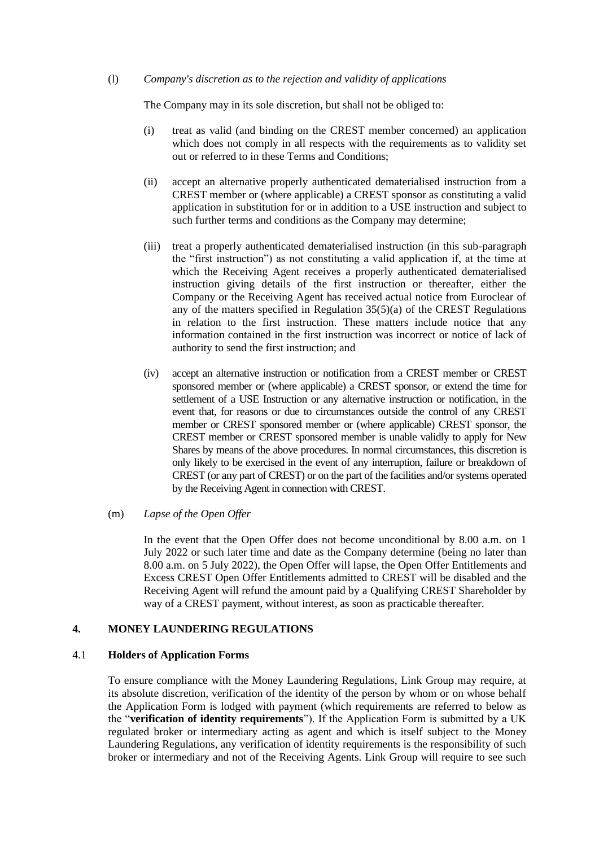### (l) *Company's discretion as to the rejection and validity of applications*

The Company may in its sole discretion, but shall not be obliged to:

- (i) treat as valid (and binding on the CREST member concerned) an application which does not comply in all respects with the requirements as to validity set out or referred to in these Terms and Conditions;
- (ii) accept an alternative properly authenticated dematerialised instruction from a CREST member or (where applicable) a CREST sponsor as constituting a valid application in substitution for or in addition to a USE instruction and subject to such further terms and conditions as the Company may determine;
- (iii) treat a properly authenticated dematerialised instruction (in this sub-paragraph the "first instruction") as not constituting a valid application if, at the time at which the Receiving Agent receives a properly authenticated dematerialised instruction giving details of the first instruction or thereafter, either the Company or the Receiving Agent has received actual notice from Euroclear of any of the matters specified in Regulation 35(5)(a) of the CREST Regulations in relation to the first instruction. These matters include notice that any information contained in the first instruction was incorrect or notice of lack of authority to send the first instruction; and
- (iv) accept an alternative instruction or notification from a CREST member or CREST sponsored member or (where applicable) a CREST sponsor, or extend the time for settlement of a USE Instruction or any alternative instruction or notification, in the event that, for reasons or due to circumstances outside the control of any CREST member or CREST sponsored member or (where applicable) CREST sponsor, the CREST member or CREST sponsored member is unable validly to apply for New Shares by means of the above procedures. In normal circumstances, this discretion is only likely to be exercised in the event of any interruption, failure or breakdown of CREST (or any part of CREST) or on the part of the facilities and/or systems operated by the Receiving Agent in connection with CREST.
- (m) *Lapse of the Open Offer*

In the event that the Open Offer does not become unconditional by 8.00 a.m. on 1 July 2022 or such later time and date as the Company determine (being no later than 8.00 a.m. on 5 July 2022), the Open Offer will lapse, the Open Offer Entitlements and Excess CREST Open Offer Entitlements admitted to CREST will be disabled and the Receiving Agent will refund the amount paid by a Qualifying CREST Shareholder by way of a CREST payment, without interest, as soon as practicable thereafter.

## **4. MONEY LAUNDERING REGULATIONS**

### 4.1 **Holders of Application Forms**

To ensure compliance with the Money Laundering Regulations, Link Group may require, at its absolute discretion, verification of the identity of the person by whom or on whose behalf the Application Form is lodged with payment (which requirements are referred to below as the "**verification of identity requirements**"). If the Application Form is submitted by a UK regulated broker or intermediary acting as agent and which is itself subject to the Money Laundering Regulations, any verification of identity requirements is the responsibility of such broker or intermediary and not of the Receiving Agents. Link Group will require to see such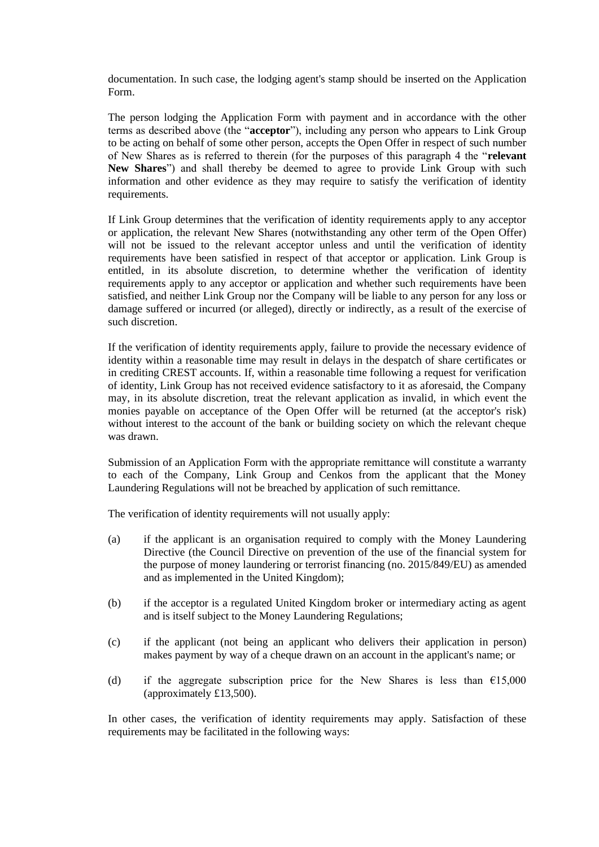documentation. In such case, the lodging agent's stamp should be inserted on the Application Form.

The person lodging the Application Form with payment and in accordance with the other terms as described above (the "**acceptor**"), including any person who appears to Link Group to be acting on behalf of some other person, accepts the Open Offer in respect of such number of New Shares as is referred to therein (for the purposes of this paragraph 4 the "**relevant New Shares**") and shall thereby be deemed to agree to provide Link Group with such information and other evidence as they may require to satisfy the verification of identity requirements.

If Link Group determines that the verification of identity requirements apply to any acceptor or application, the relevant New Shares (notwithstanding any other term of the Open Offer) will not be issued to the relevant acceptor unless and until the verification of identity requirements have been satisfied in respect of that acceptor or application. Link Group is entitled, in its absolute discretion, to determine whether the verification of identity requirements apply to any acceptor or application and whether such requirements have been satisfied, and neither Link Group nor the Company will be liable to any person for any loss or damage suffered or incurred (or alleged), directly or indirectly, as a result of the exercise of such discretion.

If the verification of identity requirements apply, failure to provide the necessary evidence of identity within a reasonable time may result in delays in the despatch of share certificates or in crediting CREST accounts. If, within a reasonable time following a request for verification of identity, Link Group has not received evidence satisfactory to it as aforesaid, the Company may, in its absolute discretion, treat the relevant application as invalid, in which event the monies payable on acceptance of the Open Offer will be returned (at the acceptor's risk) without interest to the account of the bank or building society on which the relevant cheque was drawn.

Submission of an Application Form with the appropriate remittance will constitute a warranty to each of the Company, Link Group and Cenkos from the applicant that the Money Laundering Regulations will not be breached by application of such remittance.

The verification of identity requirements will not usually apply:

- (a) if the applicant is an organisation required to comply with the Money Laundering Directive (the Council Directive on prevention of the use of the financial system for the purpose of money laundering or terrorist financing (no. 2015/849/EU) as amended and as implemented in the United Kingdom);
- (b) if the acceptor is a regulated United Kingdom broker or intermediary acting as agent and is itself subject to the Money Laundering Regulations;
- (c) if the applicant (not being an applicant who delivers their application in person) makes payment by way of a cheque drawn on an account in the applicant's name; or
- (d) if the aggregate subscription price for the New Shares is less than  $\epsilon$ 15,000 (approximately £13,500).

In other cases, the verification of identity requirements may apply. Satisfaction of these requirements may be facilitated in the following ways: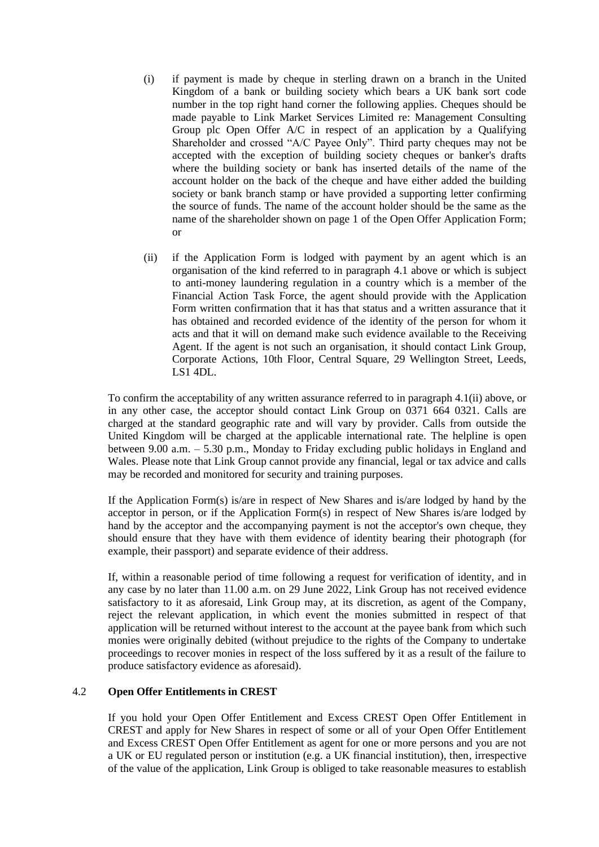- (i) if payment is made by cheque in sterling drawn on a branch in the United Kingdom of a bank or building society which bears a UK bank sort code number in the top right hand corner the following applies. Cheques should be made payable to Link Market Services Limited re: Management Consulting Group plc Open Offer A/C in respect of an application by a Qualifying Shareholder and crossed "A/C Payee Only". Third party cheques may not be accepted with the exception of building society cheques or banker's drafts where the building society or bank has inserted details of the name of the account holder on the back of the cheque and have either added the building society or bank branch stamp or have provided a supporting letter confirming the source of funds. The name of the account holder should be the same as the name of the shareholder shown on page 1 of the Open Offer Application Form; or
- (ii) if the Application Form is lodged with payment by an agent which is an organisation of the kind referred to in paragraph 4.1 above or which is subject to anti-money laundering regulation in a country which is a member of the Financial Action Task Force, the agent should provide with the Application Form written confirmation that it has that status and a written assurance that it has obtained and recorded evidence of the identity of the person for whom it acts and that it will on demand make such evidence available to the Receiving Agent. If the agent is not such an organisation, it should contact Link Group, Corporate Actions, 10th Floor, Central Square, 29 Wellington Street, Leeds,  $LS1$  4DL.

To confirm the acceptability of any written assurance referred to in paragraph 4.1(ii) above, or in any other case, the acceptor should contact Link Group on 0371 664 0321. Calls are charged at the standard geographic rate and will vary by provider. Calls from outside the United Kingdom will be charged at the applicable international rate. The helpline is open between 9.00 a.m. – 5.30 p.m., Monday to Friday excluding public holidays in England and Wales. Please note that Link Group cannot provide any financial, legal or tax advice and calls may be recorded and monitored for security and training purposes.

If the Application Form(s) is/are in respect of New Shares and is/are lodged by hand by the acceptor in person, or if the Application Form(s) in respect of New Shares is/are lodged by hand by the acceptor and the accompanying payment is not the acceptor's own cheque, they should ensure that they have with them evidence of identity bearing their photograph (for example, their passport) and separate evidence of their address.

If, within a reasonable period of time following a request for verification of identity, and in any case by no later than 11.00 a.m. on 29 June 2022, Link Group has not received evidence satisfactory to it as aforesaid, Link Group may, at its discretion, as agent of the Company, reject the relevant application, in which event the monies submitted in respect of that application will be returned without interest to the account at the payee bank from which such monies were originally debited (without prejudice to the rights of the Company to undertake proceedings to recover monies in respect of the loss suffered by it as a result of the failure to produce satisfactory evidence as aforesaid).

# 4.2 **Open Offer Entitlements in CREST**

If you hold your Open Offer Entitlement and Excess CREST Open Offer Entitlement in CREST and apply for New Shares in respect of some or all of your Open Offer Entitlement and Excess CREST Open Offer Entitlement as agent for one or more persons and you are not a UK or EU regulated person or institution (e.g. a UK financial institution), then, irrespective of the value of the application, Link Group is obliged to take reasonable measures to establish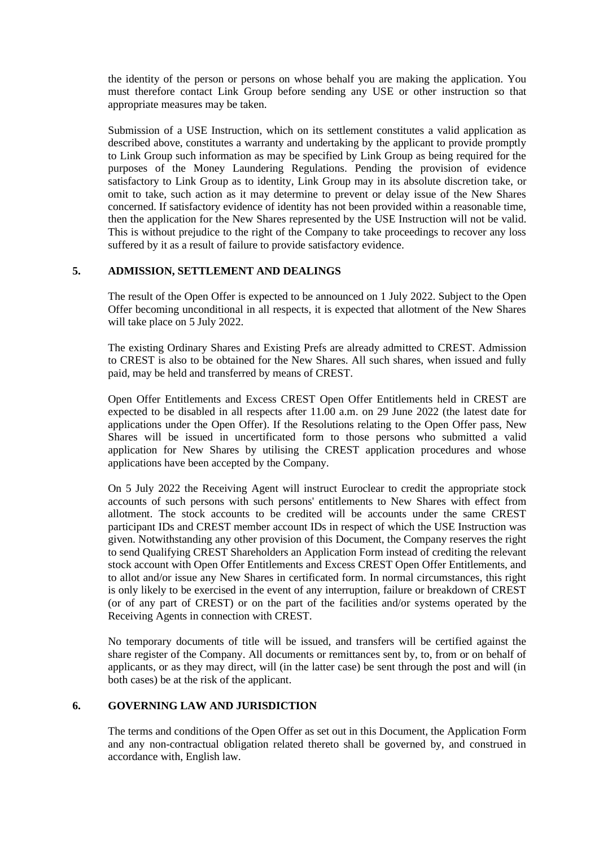the identity of the person or persons on whose behalf you are making the application. You must therefore contact Link Group before sending any USE or other instruction so that appropriate measures may be taken.

Submission of a USE Instruction, which on its settlement constitutes a valid application as described above, constitutes a warranty and undertaking by the applicant to provide promptly to Link Group such information as may be specified by Link Group as being required for the purposes of the Money Laundering Regulations. Pending the provision of evidence satisfactory to Link Group as to identity, Link Group may in its absolute discretion take, or omit to take, such action as it may determine to prevent or delay issue of the New Shares concerned. If satisfactory evidence of identity has not been provided within a reasonable time, then the application for the New Shares represented by the USE Instruction will not be valid. This is without prejudice to the right of the Company to take proceedings to recover any loss suffered by it as a result of failure to provide satisfactory evidence.

# **5. ADMISSION, SETTLEMENT AND DEALINGS**

The result of the Open Offer is expected to be announced on 1 July 2022. Subject to the Open Offer becoming unconditional in all respects, it is expected that allotment of the New Shares will take place on 5 July 2022.

The existing Ordinary Shares and Existing Prefs are already admitted to CREST. Admission to CREST is also to be obtained for the New Shares. All such shares, when issued and fully paid, may be held and transferred by means of CREST.

Open Offer Entitlements and Excess CREST Open Offer Entitlements held in CREST are expected to be disabled in all respects after 11.00 a.m. on 29 June 2022 (the latest date for applications under the Open Offer). If the Resolutions relating to the Open Offer pass, New Shares will be issued in uncertificated form to those persons who submitted a valid application for New Shares by utilising the CREST application procedures and whose applications have been accepted by the Company.

On 5 July 2022 the Receiving Agent will instruct Euroclear to credit the appropriate stock accounts of such persons with such persons' entitlements to New Shares with effect from allotment. The stock accounts to be credited will be accounts under the same CREST participant IDs and CREST member account IDs in respect of which the USE Instruction was given. Notwithstanding any other provision of this Document, the Company reserves the right to send Qualifying CREST Shareholders an Application Form instead of crediting the relevant stock account with Open Offer Entitlements and Excess CREST Open Offer Entitlements, and to allot and/or issue any New Shares in certificated form. In normal circumstances, this right is only likely to be exercised in the event of any interruption, failure or breakdown of CREST (or of any part of CREST) or on the part of the facilities and/or systems operated by the Receiving Agents in connection with CREST.

No temporary documents of title will be issued, and transfers will be certified against the share register of the Company. All documents or remittances sent by, to, from or on behalf of applicants, or as they may direct, will (in the latter case) be sent through the post and will (in both cases) be at the risk of the applicant.

## **6. GOVERNING LAW AND JURISDICTION**

The terms and conditions of the Open Offer as set out in this Document, the Application Form and any non-contractual obligation related thereto shall be governed by, and construed in accordance with, English law.